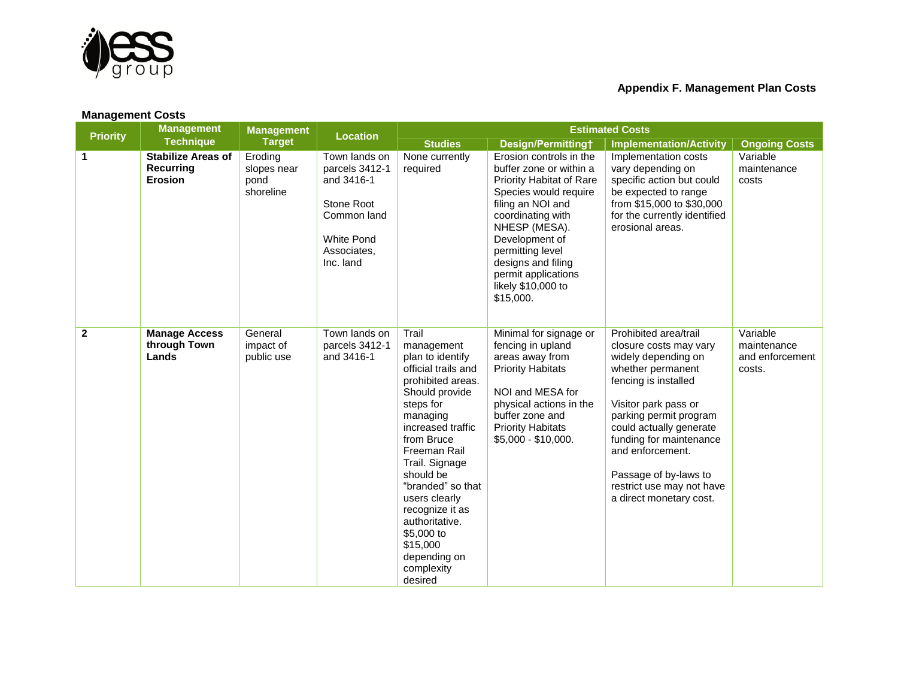

| <b>Management Costs</b> |                                                          |                                             |                                                                                                                             |                                                                                                                                                                                                                                                                                                                                                                |                                                                                                                                                                                                                                                                                                 |                                                                                                                                                                                                                                                                                                                                  |                                                      |  |
|-------------------------|----------------------------------------------------------|---------------------------------------------|-----------------------------------------------------------------------------------------------------------------------------|----------------------------------------------------------------------------------------------------------------------------------------------------------------------------------------------------------------------------------------------------------------------------------------------------------------------------------------------------------------|-------------------------------------------------------------------------------------------------------------------------------------------------------------------------------------------------------------------------------------------------------------------------------------------------|----------------------------------------------------------------------------------------------------------------------------------------------------------------------------------------------------------------------------------------------------------------------------------------------------------------------------------|------------------------------------------------------|--|
| <b>Priority</b>         | <b>Management</b><br><b>Technique</b>                    | <b>Management</b><br><b>Target</b>          | <b>Location</b>                                                                                                             | <b>Estimated Costs</b>                                                                                                                                                                                                                                                                                                                                         |                                                                                                                                                                                                                                                                                                 |                                                                                                                                                                                                                                                                                                                                  |                                                      |  |
|                         |                                                          |                                             |                                                                                                                             | <b>Studies</b>                                                                                                                                                                                                                                                                                                                                                 | Design/Permittingt                                                                                                                                                                                                                                                                              | <b>Implementation/Activity</b>                                                                                                                                                                                                                                                                                                   | <b>Ongoing Costs</b>                                 |  |
| $\mathbf 1$             | <b>Stabilize Areas of</b><br>Recurring<br><b>Erosion</b> | Eroding<br>slopes near<br>pond<br>shoreline | Town lands on<br>parcels 3412-1<br>and 3416-1<br>Stone Root<br>Common land<br><b>White Pond</b><br>Associates,<br>Inc. land | None currently<br>required                                                                                                                                                                                                                                                                                                                                     | Erosion controls in the<br>buffer zone or within a<br><b>Priority Habitat of Rare</b><br>Species would require<br>filing an NOI and<br>coordinating with<br>NHESP (MESA).<br>Development of<br>permitting level<br>designs and filing<br>permit applications<br>likely \$10,000 to<br>\$15,000. | Implementation costs<br>vary depending on<br>specific action but could<br>be expected to range<br>from \$15,000 to \$30,000<br>for the currently identified<br>erosional areas.                                                                                                                                                  | Variable<br>maintenance<br>costs                     |  |
| $\mathbf{2}$            | <b>Manage Access</b><br>through Town<br>Lands            | General<br>impact of<br>public use          | Town lands on<br>parcels 3412-1<br>and 3416-1                                                                               | Trail<br>management<br>plan to identify<br>official trails and<br>prohibited areas.<br>Should provide<br>steps for<br>managing<br>increased traffic<br>from Bruce<br>Freeman Rail<br>Trail. Signage<br>should be<br>"branded" so that<br>users clearly<br>recognize it as<br>authoritative.<br>\$5,000 to<br>\$15,000<br>depending on<br>complexity<br>desired | Minimal for signage or<br>fencing in upland<br>areas away from<br><b>Priority Habitats</b><br>NOI and MESA for<br>physical actions in the<br>buffer zone and<br><b>Priority Habitats</b><br>\$5,000 - \$10,000.                                                                                 | Prohibited area/trail<br>closure costs may vary<br>widely depending on<br>whether permanent<br>fencing is installed<br>Visitor park pass or<br>parking permit program<br>could actually generate<br>funding for maintenance<br>and enforcement.<br>Passage of by-laws to<br>restrict use may not have<br>a direct monetary cost. | Variable<br>maintenance<br>and enforcement<br>costs. |  |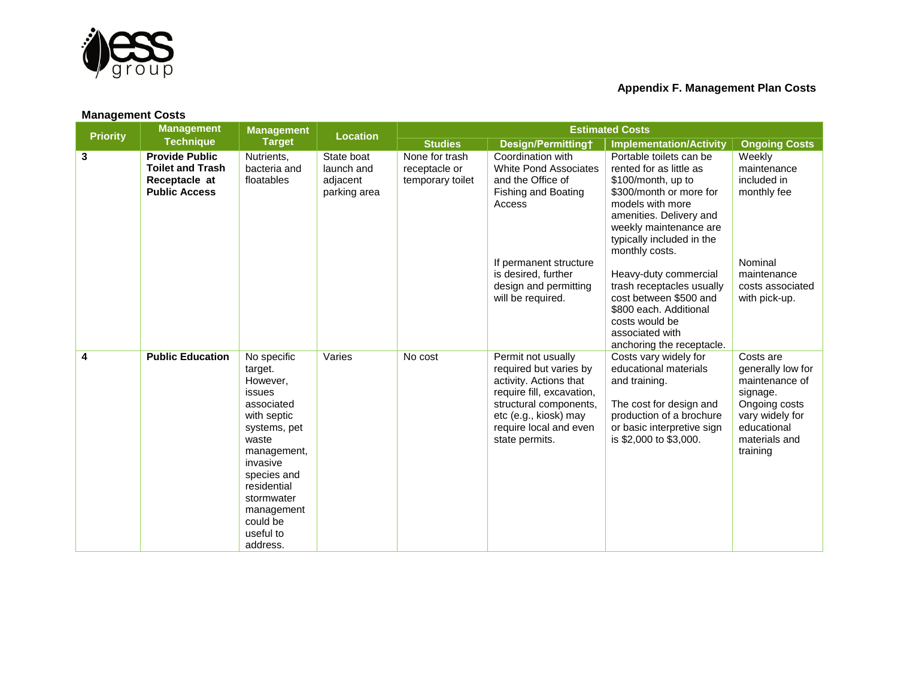

| <b>Management Costs</b> |                                                                                           |                                                                                                                                                                                                                              |                                                      |                                                     |                                                                                                                                                                                                    |                                                                                                                                                                                                                             |                                                                                                                                              |  |
|-------------------------|-------------------------------------------------------------------------------------------|------------------------------------------------------------------------------------------------------------------------------------------------------------------------------------------------------------------------------|------------------------------------------------------|-----------------------------------------------------|----------------------------------------------------------------------------------------------------------------------------------------------------------------------------------------------------|-----------------------------------------------------------------------------------------------------------------------------------------------------------------------------------------------------------------------------|----------------------------------------------------------------------------------------------------------------------------------------------|--|
| <b>Priority</b>         | <b>Management</b><br><b>Technique</b>                                                     | <b>Management</b><br><b>Target</b>                                                                                                                                                                                           | <b>Location</b>                                      | <b>Estimated Costs</b>                              |                                                                                                                                                                                                    |                                                                                                                                                                                                                             |                                                                                                                                              |  |
|                         |                                                                                           |                                                                                                                                                                                                                              |                                                      | <b>Studies</b>                                      | Design/Permitting†                                                                                                                                                                                 | <b>Implementation/Activity</b>                                                                                                                                                                                              | <b>Ongoing Costs</b>                                                                                                                         |  |
| 3                       | <b>Provide Public</b><br><b>Toilet and Trash</b><br>Receptacle at<br><b>Public Access</b> | Nutrients,<br>bacteria and<br>floatables                                                                                                                                                                                     | State boat<br>launch and<br>adjacent<br>parking area | None for trash<br>receptacle or<br>temporary toilet | Coordination with<br><b>White Pond Associates</b><br>and the Office of<br>Fishing and Boating<br>Access                                                                                            | Portable toilets can be<br>rented for as little as<br>\$100/month, up to<br>\$300/month or more for<br>models with more<br>amenities. Delivery and<br>weekly maintenance are<br>typically included in the<br>monthly costs. | Weekly<br>maintenance<br>included in<br>monthly fee                                                                                          |  |
|                         |                                                                                           |                                                                                                                                                                                                                              |                                                      |                                                     | If permanent structure<br>is desired, further<br>design and permitting<br>will be required.                                                                                                        | Heavy-duty commercial<br>trash receptacles usually<br>cost between \$500 and<br>\$800 each. Additional<br>costs would be<br>associated with<br>anchoring the receptacle.                                                    | Nominal<br>maintenance<br>costs associated<br>with pick-up.                                                                                  |  |
| $\overline{\mathbf{4}}$ | <b>Public Education</b>                                                                   | No specific<br>target.<br>However,<br>issues<br>associated<br>with septic<br>systems, pet<br>waste<br>management,<br>invasive<br>species and<br>residential<br>stormwater<br>management<br>could be<br>useful to<br>address. | Varies                                               | No cost                                             | Permit not usually<br>required but varies by<br>activity. Actions that<br>require fill, excavation,<br>structural components,<br>etc (e.g., kiosk) may<br>require local and even<br>state permits. | Costs vary widely for<br>educational materials<br>and training.<br>The cost for design and<br>production of a brochure<br>or basic interpretive sign<br>is \$2,000 to \$3,000.                                              | Costs are<br>generally low for<br>maintenance of<br>signage.<br>Ongoing costs<br>vary widely for<br>educational<br>materials and<br>training |  |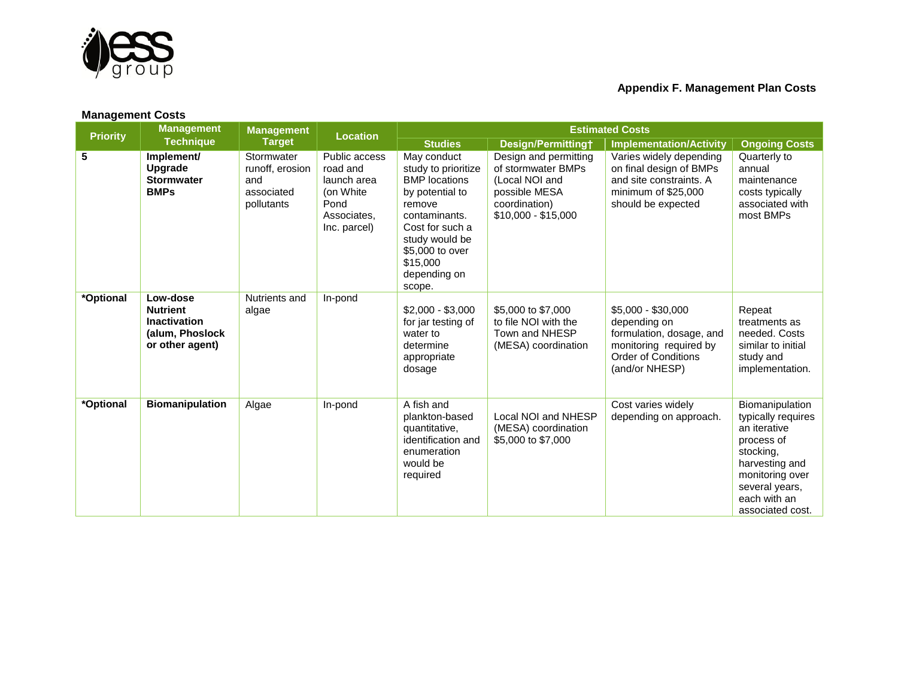

| <b>Management Costs</b> |                                                                                          |                                                                  |                                                                                              |                                                                                                                                                                                                        |                                                                                                                        |                                                                                                                                          |                                                                                                                                                                             |  |
|-------------------------|------------------------------------------------------------------------------------------|------------------------------------------------------------------|----------------------------------------------------------------------------------------------|--------------------------------------------------------------------------------------------------------------------------------------------------------------------------------------------------------|------------------------------------------------------------------------------------------------------------------------|------------------------------------------------------------------------------------------------------------------------------------------|-----------------------------------------------------------------------------------------------------------------------------------------------------------------------------|--|
| <b>Priority</b>         | <b>Management</b><br><b>Technique</b>                                                    | <b>Management</b><br><b>Target</b>                               | <b>Location</b>                                                                              | <b>Estimated Costs</b>                                                                                                                                                                                 |                                                                                                                        |                                                                                                                                          |                                                                                                                                                                             |  |
|                         |                                                                                          |                                                                  |                                                                                              | <b>Studies</b>                                                                                                                                                                                         | Design/Permittingt                                                                                                     | <b>Implementation/Activity</b>                                                                                                           | <b>Ongoing Costs</b>                                                                                                                                                        |  |
| $\overline{\mathbf{5}}$ | Implement/<br>Upgrade<br><b>Stormwater</b><br><b>BMPs</b>                                | Stormwater<br>runoff, erosion<br>and<br>associated<br>pollutants | Public access<br>road and<br>launch area<br>(on White<br>Pond<br>Associates,<br>Inc. parcel) | May conduct<br>study to prioritize<br><b>BMP</b> locations<br>by potential to<br>remove<br>contaminants.<br>Cost for such a<br>study would be<br>\$5,000 to over<br>\$15,000<br>depending on<br>scope. | Design and permitting<br>of stormwater BMPs<br>(Local NOI and<br>possible MESA<br>coordination)<br>$$10,000 - $15,000$ | Varies widely depending<br>on final design of BMPs<br>and site constraints. A<br>minimum of \$25,000<br>should be expected               | Quarterly to<br>annual<br>maintenance<br>costs typically<br>associated with<br>most BMPs                                                                                    |  |
| *Optional               | Low-dose<br><b>Nutrient</b><br><b>Inactivation</b><br>(alum, Phoslock<br>or other agent) | Nutrients and<br>algae                                           | In-pond                                                                                      | $$2,000 - $3,000$<br>for jar testing of<br>water to<br>determine<br>appropriate<br>dosage                                                                                                              | \$5,000 to \$7,000<br>to file NOI with the<br>Town and NHESP<br>(MESA) coordination                                    | $$5,000 - $30,000$<br>depending on<br>formulation, dosage, and<br>monitoring required by<br><b>Order of Conditions</b><br>(and/or NHESP) | Repeat<br>treatments as<br>needed. Costs<br>similar to initial<br>study and<br>implementation.                                                                              |  |
| *Optional               | <b>Biomanipulation</b>                                                                   | Algae                                                            | In-pond                                                                                      | A fish and<br>plankton-based<br>quantitative,<br>identification and<br>enumeration<br>would be<br>required                                                                                             | Local NOI and NHESP<br>(MESA) coordination<br>\$5,000 to \$7,000                                                       | Cost varies widely<br>depending on approach.                                                                                             | Biomanipulation<br>typically requires<br>an iterative<br>process of<br>stocking,<br>harvesting and<br>monitoring over<br>several years,<br>each with an<br>associated cost. |  |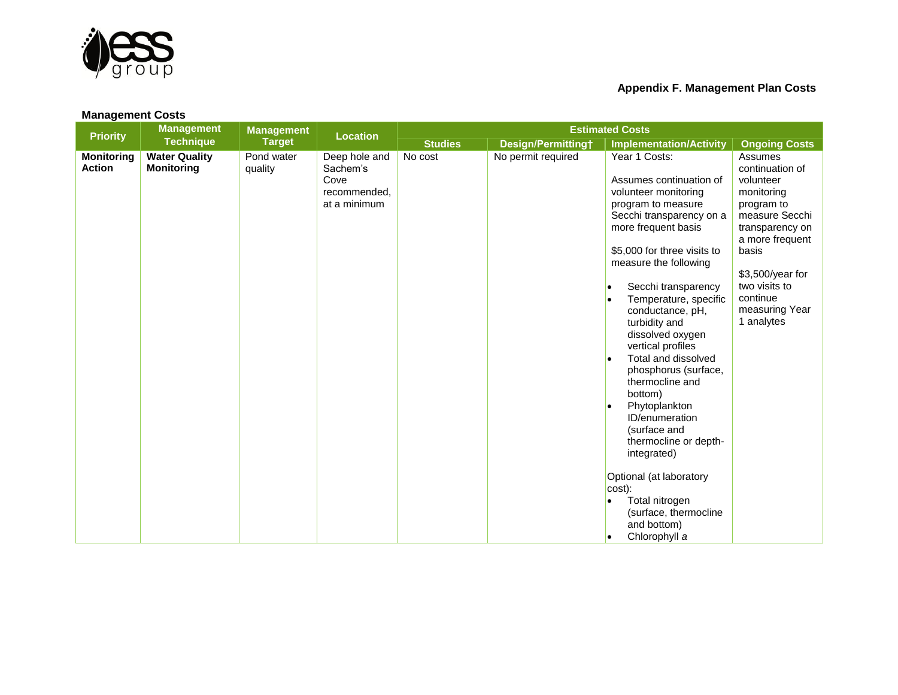

| <b>Management Costs</b>            |                                           |                                    |                                                                   |                        |                    |                                                                                                                                                                                                                                                                                                                                                                                                                                                                                                                                                                                                                                                                    |                                                                                                                                                                                                                       |  |
|------------------------------------|-------------------------------------------|------------------------------------|-------------------------------------------------------------------|------------------------|--------------------|--------------------------------------------------------------------------------------------------------------------------------------------------------------------------------------------------------------------------------------------------------------------------------------------------------------------------------------------------------------------------------------------------------------------------------------------------------------------------------------------------------------------------------------------------------------------------------------------------------------------------------------------------------------------|-----------------------------------------------------------------------------------------------------------------------------------------------------------------------------------------------------------------------|--|
| <b>Priority</b>                    | <b>Management</b><br><b>Technique</b>     | <b>Management</b><br><b>Target</b> | <b>Location</b>                                                   | <b>Estimated Costs</b> |                    |                                                                                                                                                                                                                                                                                                                                                                                                                                                                                                                                                                                                                                                                    |                                                                                                                                                                                                                       |  |
|                                    |                                           |                                    |                                                                   | <b>Studies</b>         | Design/Permittingt | <b>Implementation/Activity</b>                                                                                                                                                                                                                                                                                                                                                                                                                                                                                                                                                                                                                                     | <b>Ongoing Costs</b>                                                                                                                                                                                                  |  |
| <b>Monitoring</b><br><b>Action</b> | <b>Water Quality</b><br><b>Monitoring</b> | Pond water<br>quality              | Deep hole and<br>Sachem's<br>Cove<br>recommended.<br>at a minimum | No cost                | No permit required | Year 1 Costs:<br>Assumes continuation of<br>volunteer monitoring<br>program to measure<br>Secchi transparency on a<br>more frequent basis<br>\$5,000 for three visits to<br>measure the following<br>Secchi transparency<br>$\bullet$<br>Temperature, specific<br>conductance, pH,<br>turbidity and<br>dissolved oxygen<br>vertical profiles<br>Total and dissolved<br>$\bullet$<br>phosphorus (surface,<br>thermocline and<br>bottom)<br>Phytoplankton<br>ID/enumeration<br>(surface and<br>thermocline or depth-<br>integrated)<br>Optional (at laboratory<br>$ cost $ :<br>Total nitrogen<br>$\bullet$<br>(surface, thermocline<br>and bottom)<br>Chlorophyll a | Assumes<br>continuation of<br>volunteer<br>monitoring<br>program to<br>measure Secchi<br>transparency on<br>a more frequent<br>basis<br>\$3,500/year for<br>two visits to<br>continue<br>measuring Year<br>1 analytes |  |